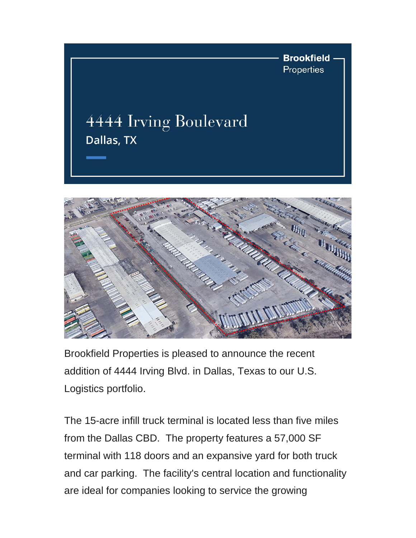



Brookfield Properties is pleased to announce the recent addition of 4444 Irving Blvd. in Dallas, Texas to our U.S. Logistics portfolio.

The 15-acre infill truck terminal is located less than five miles from the Dallas CBD. The property features a 57,000 SF terminal with 118 doors and an expansive yard for both truck and car parking. The facility's central location and functionality are ideal for companies looking to service the growing